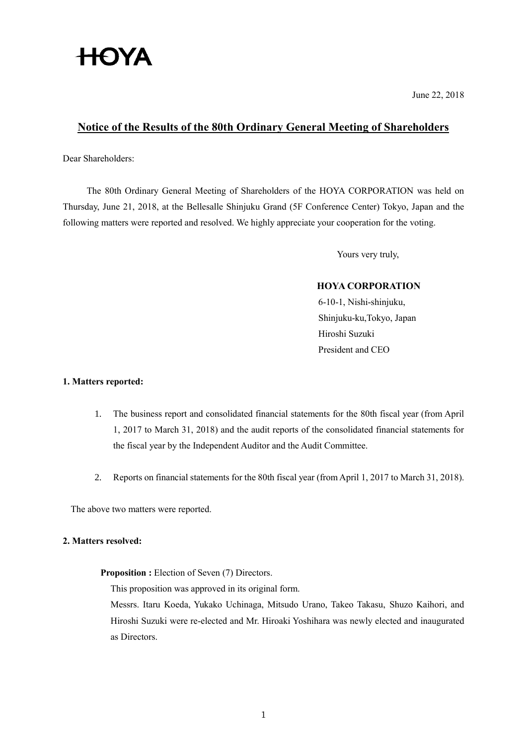# **HOYA**

June 22, 2018

## **Notice of the Results of the 80th Ordinary General Meeting of Shareholders**

Dear Shareholders:

The 80th Ordinary General Meeting of Shareholders of the HOYA CORPORATION was held on Thursday, June 21, 2018, at the Bellesalle Shinjuku Grand (5F Conference Center) Tokyo, Japan and the following matters were reported and resolved. We highly appreciate your cooperation for the voting.

Yours very truly,

## **HOYA CORPORATION**

6-10-1, Nishi-shinjuku, Shinjuku-ku,Tokyo, Japan Hiroshi Suzuki President and CEO

## **1. Matters reported:**

- 1. The business report and consolidated financial statements for the 80th fiscal year (from April 1, 2017 to March 31, 2018) and the audit reports of the consolidated financial statements for the fiscal year by the Independent Auditor and the Audit Committee.
- 2. Reports on financial statements for the 80th fiscal year (from April 1, 2017 to March 31, 2018).

The above two matters were reported.

### **2. Matters resolved:**

**Proposition :** Election of Seven (7) Directors.

This proposition was approved in its original form.

Messrs. Itaru Koeda, Yukako Uchinaga, Mitsudo Urano, Takeo Takasu, Shuzo Kaihori, and Hiroshi Suzuki were re-elected and Mr. Hiroaki Yoshihara was newly elected and inaugurated as Directors.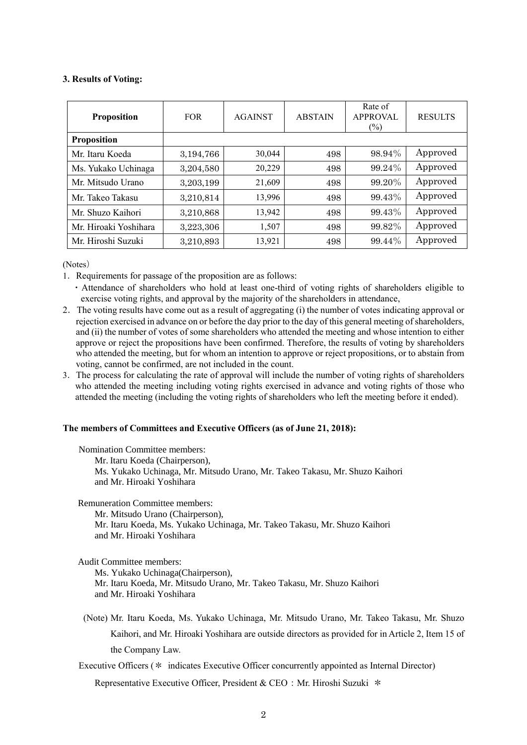### **3. Results of Voting:**

| <b>Proposition</b>    | <b>FOR</b> | <b>AGAINST</b> | <b>ABSTAIN</b> | Rate of<br><b>APPROVAL</b><br>$\frac{6}{2}$ | <b>RESULTS</b> |
|-----------------------|------------|----------------|----------------|---------------------------------------------|----------------|
| <b>Proposition</b>    |            |                |                |                                             |                |
| Mr. Itaru Koeda       | 3,194,766  | 30,044         | 498            | 98.94%                                      | Approved       |
| Ms. Yukako Uchinaga   | 3,204,580  | 20,229         | 498            | 99.24%                                      | Approved       |
| Mr. Mitsudo Urano     | 3,203,199  | 21,609         | 498            | 99.20%                                      | Approved       |
| Mr Takeo Takasu       | 3,210,814  | 13,996         | 498            | 99.43%                                      | Approved       |
| Mr. Shuzo Kaihori     | 3,210,868  | 13,942         | 498            | 99.43%                                      | Approved       |
| Mr. Hiroaki Yoshihara | 3,223,306  | 1,507          | 498            | 99.82%                                      | Approved       |
| Mr. Hiroshi Suzuki    | 3,210,893  | 13,921         | 498            | 99.44%                                      | Approved       |

(Notes)

1.Requirements for passage of the proposition are as follows:

・Attendance of shareholders who hold at least one-third of voting rights of shareholders eligible to exercise voting rights, and approval by the majority of the shareholders in attendance,

- 2.The voting results have come out as a result of aggregating (i) the number of votes indicating approval or rejection exercised in advance on or before the day prior to the day of this general meeting of shareholders, and (ii) the number of votes of some shareholders who attended the meeting and whose intention to either approve or reject the propositions have been confirmed. Therefore, the results of voting by shareholders who attended the meeting, but for whom an intention to approve or reject propositions, or to abstain from voting, cannot be confirmed, are not included in the count.
- 3.The process for calculating the rate of approval will include the number of voting rights of shareholders who attended the meeting including voting rights exercised in advance and voting rights of those who attended the meeting (including the voting rights of shareholders who left the meeting before it ended).

#### **The members of Committees and Executive Officers (as of June 21, 2018):**

| <b>Nomination Committee members:</b><br>Mr. Itaru Koeda (Chairperson),      |
|-----------------------------------------------------------------------------|
|                                                                             |
| Ms. Yukako Uchinaga, Mr. Mitsudo Urano, Mr. Takeo Takasu, Mr. Shuzo Kaihori |
| and Mr. Hiroaki Yoshihara                                                   |

Remuneration Committee members:

Mr. Mitsudo Urano (Chairperson), Mr. Itaru Koeda, Ms. Yukako Uchinaga, Mr. Takeo Takasu, Mr. Shuzo Kaihori and Mr. Hiroaki Yoshihara

Audit Committee members:

Ms. Yukako Uchinaga(Chairperson), Mr. Itaru Koeda, Mr. Mitsudo Urano, Mr. Takeo Takasu, Mr. Shuzo Kaihori and Mr. Hiroaki Yoshihara

(Note) Mr. Itaru Koeda, Ms. Yukako Uchinaga, Mr. Mitsudo Urano, Mr. Takeo Takasu, Mr. Shuzo Kaihori, and Mr. Hiroaki Yoshihara are outside directors as provided for in Article 2, Item 15 of the Company Law.

Executive Officers (\* indicates Executive Officer concurrently appointed as Internal Director)

Representative Executive Officer, President & CEO: Mr. Hiroshi Suzuki \*